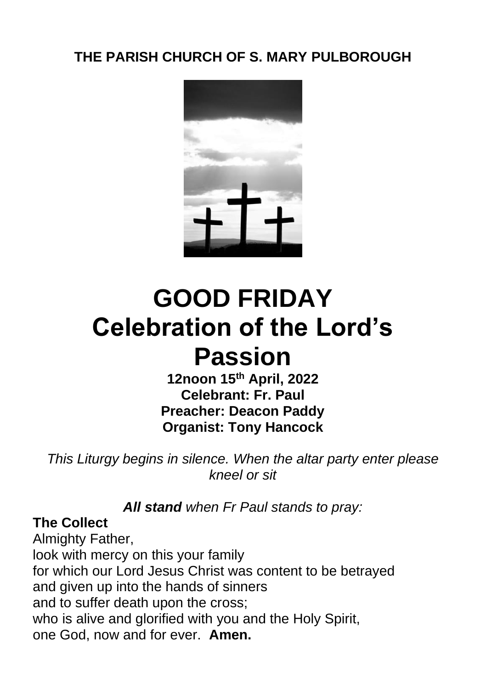## **THE PARISH CHURCH OF S. MARY PULBOROUGH**



# **GOOD FRIDAY Celebration of the Lord's Passion**

**12noon 15th April, 2022 Celebrant: Fr. Paul Preacher: Deacon Paddy Organist: Tony Hancock**

*This Liturgy begins in silence. When the altar party enter please kneel or sit*

*All stand when Fr Paul stands to pray:*

## **The Collect**

Almighty Father, look with mercy on this your family for which our Lord Jesus Christ was content to be betrayed and given up into the hands of sinners and to suffer death upon the cross; who is alive and glorified with you and the Holy Spirit, one God, now and for ever. **Amen.**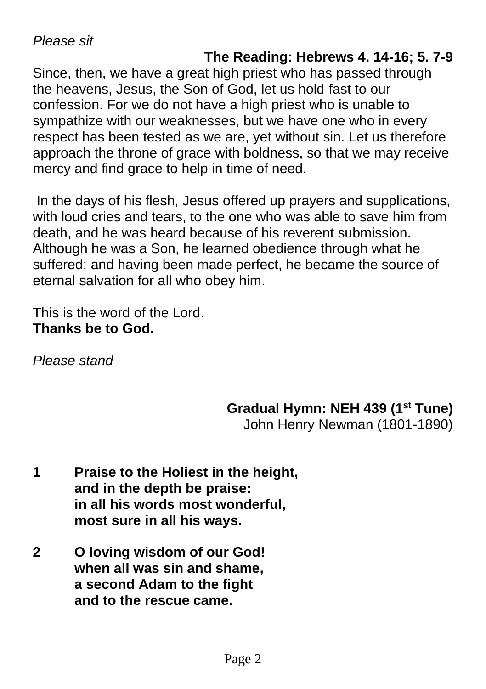*Please sit*

## **The Reading: Hebrews 4. 14-16; 5. 7-9**

Since, then, we have a great high priest who has passed through the heavens, Jesus, the Son of God, let us hold fast to our confession. For we do not have a high priest who is unable to sympathize with our weaknesses, but we have one who in every respect has been tested as we are, yet without sin. Let us therefore approach the throne of grace with boldness, so that we may receive mercy and find grace to help in time of need.

In the days of his flesh, Jesus offered up prayers and supplications, with loud cries and tears, to the one who was able to save him from death, and he was heard because of his reverent submission. Although he was a Son, he learned obedience through what he suffered; and having been made perfect, he became the source of eternal salvation for all who obey him.

This is the word of the Lord. **Thanks be to God.**

*Please stand*

## **Gradual Hymn: NEH 439 (1st Tune)**

John Henry Newman (1801-1890)

- **1 Praise to the Holiest in the height, and in the depth be praise: in all his words most wonderful, most sure in all his ways.**
- **2 O loving wisdom of our God! when all was sin and shame, a second Adam to the fight and to the rescue came.**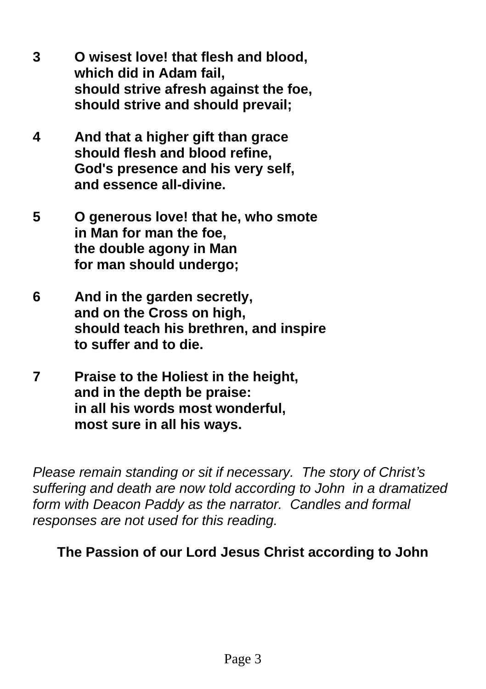- **3 O wisest love! that flesh and blood, which did in Adam fail, should strive afresh against the foe, should strive and should prevail;**
- **4 And that a higher gift than grace should flesh and blood refine, God's presence and his very self, and essence all-divine.**
- **5 O generous love! that he, who smote in Man for man the foe, the double agony in Man for man should undergo;**
- **6 And in the garden secretly, and on the Cross on high, should teach his brethren, and inspire to suffer and to die.**
- **7 Praise to the Holiest in the height, and in the depth be praise: in all his words most wonderful, most sure in all his ways.**

*Please remain standing or sit if necessary. The story of Christ's suffering and death are now told according to John in a dramatized form with Deacon Paddy as the narrator. Candles and formal responses are not used for this reading.*

## **The Passion of our Lord Jesus Christ according to John**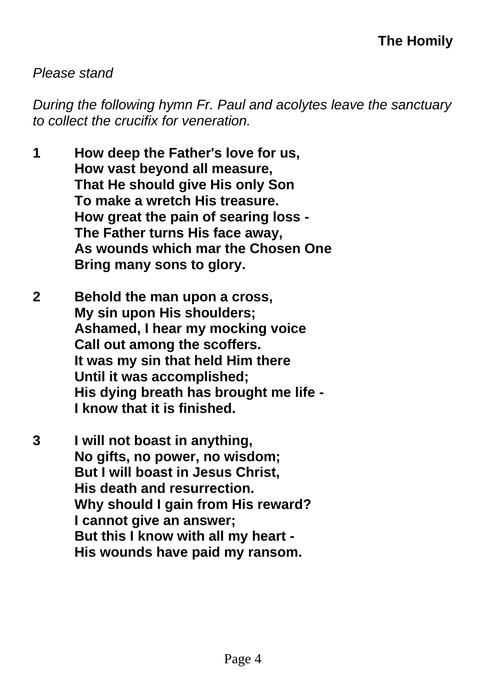#### *Please stand*

*During the following hymn Fr. Paul and acolytes leave the sanctuary to collect the crucifix for veneration.*

- **1 How deep the Father's love for us, How vast beyond all measure, That He should give His only Son To make a wretch His treasure. How great the pain of searing loss - The Father turns His face away, As wounds which mar the Chosen One Bring many sons to glory.**
- **2 Behold the man upon a cross, My sin upon His shoulders; Ashamed, I hear my mocking voice Call out among the scoffers. It was my sin that held Him there Until it was accomplished; His dying breath has brought me life - I know that it is finished.**
- **3 I will not boast in anything, No gifts, no power, no wisdom; But I will boast in Jesus Christ, His death and resurrection. Why should I gain from His reward? I cannot give an answer; But this I know with all my heart - His wounds have paid my ransom.**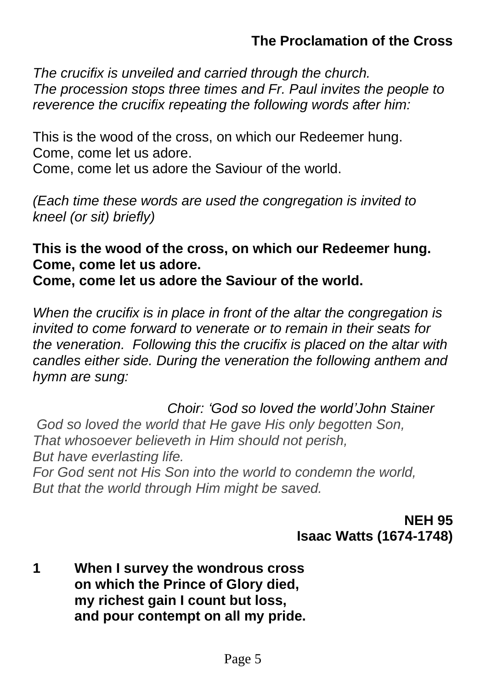## **The Proclamation of the Cross**

*The crucifix is unveiled and carried through the church. The procession stops three times and Fr. Paul invites the people to reverence the crucifix repeating the following words after him:*

This is the wood of the cross, on which our Redeemer hung. Come, come let us adore. Come, come let us adore the Saviour of the world.

*(Each time these words are used the congregation is invited to kneel (or sit) briefly)*

**This is the wood of the cross, on which our Redeemer hung. Come, come let us adore.**

**Come, come let us adore the Saviour of the world.**

*When the crucifix is in place in front of the altar the congregation is invited to come forward to venerate or to remain in their seats for the veneration. Following this the crucifix is placed on the altar with candles either side. During the veneration the following anthem and hymn are sung:* 

 *Choir: 'God so loved the world'John Stainer God so loved the world that He gave His only begotten Son, That whosoever believeth in Him should not perish, But have everlasting life. For God sent not His Son into the world to condemn the world,*

*But that the world through Him might be saved.* 

## **NEH 95 Isaac Watts (1674-1748)**

**1 When I survey the wondrous cross on which the Prince of Glory died, my richest gain I count but loss, and pour contempt on all my pride.**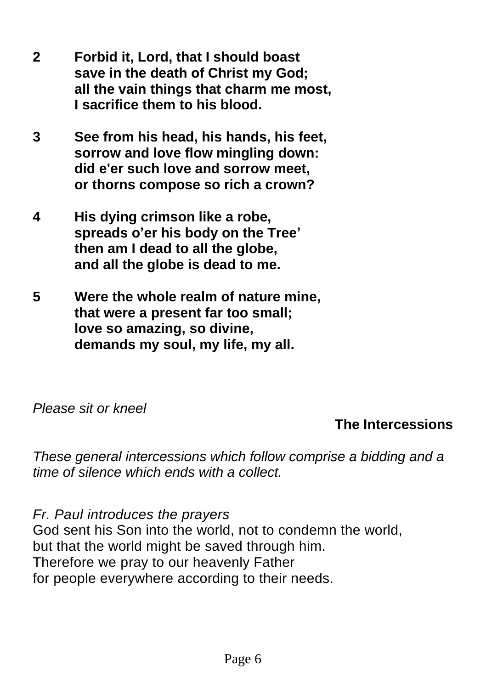- **2 Forbid it, Lord, that I should boast save in the death of Christ my God; all the vain things that charm me most, I sacrifice them to his blood.**
- **3 See from his head, his hands, his feet, sorrow and love flow mingling down: did e'er such love and sorrow meet, or thorns compose so rich a crown?**
- **4 His dying crimson like a robe, spreads o'er his body on the Tree' then am I dead to all the globe, and all the globe is dead to me.**
- **5 Were the whole realm of nature mine, that were a present far too small; love so amazing, so divine, demands my soul, my life, my all.**

## *Please sit or kneel*

## **The Intercessions**

*These general intercessions which follow comprise a bidding and a time of silence which ends with a collect.* 

*Fr. Paul introduces the prayers* God sent his Son into the world, not to condemn the world, but that the world might be saved through him. Therefore we pray to our heavenly Father for people everywhere according to their needs.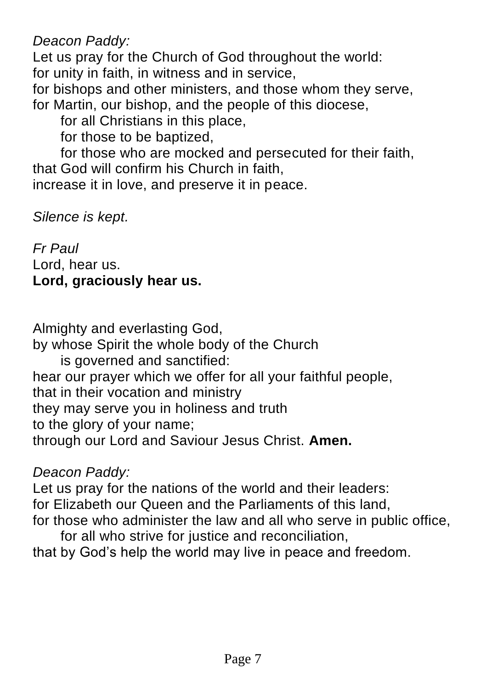*Deacon Paddy:*

Let us pray for the Church of God throughout the world: for unity in faith, in witness and in service,

for bishops and other ministers, and those whom they serve, for Martin, our bishop, and the people of this diocese,

for all Christians in this place,

for those to be baptized,

for those who are mocked and persecuted for their faith, that God will confirm his Church in faith,

increase it in love, and preserve it in peace.

*Silence is kept.*

*Fr Paul* Lord, hear us. **Lord, graciously hear us.**

Almighty and everlasting God, by whose Spirit the whole body of the Church is governed and sanctified: hear our prayer which we offer for all your faithful people, that in their vocation and ministry they may serve you in holiness and truth to the glory of your name; through our Lord and Saviour Jesus Christ. **Amen.**

## *Deacon Paddy:*

Let us pray for the nations of the world and their leaders: for Elizabeth our Queen and the Parliaments of this land, for those who administer the law and all who serve in public office,

for all who strive for justice and reconciliation. that by God's help the world may live in peace and freedom.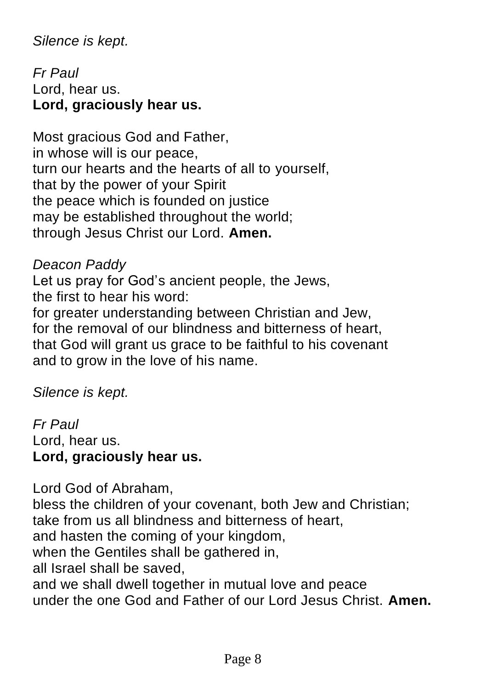## *Silence is kept.*

*Fr Paul* Lord, hear us. **Lord, graciously hear us.**

Most gracious God and Father, in whose will is our peace, turn our hearts and the hearts of all to yourself, that by the power of your Spirit the peace which is founded on justice may be established throughout the world; through Jesus Christ our Lord. **Amen.**

## *Deacon Paddy*

Let us pray for God's ancient people, the Jews, the first to hear his word:

for greater understanding between Christian and Jew, for the removal of our blindness and bitterness of heart, that God will grant us grace to be faithful to his covenant and to grow in the love of his name.

*Silence is kept.*

*Fr Paul* Lord, hear us. **Lord, graciously hear us.**

Lord God of Abraham, bless the children of your covenant, both Jew and Christian; take from us all blindness and bitterness of heart, and hasten the coming of your kingdom, when the Gentiles shall be gathered in, all Israel shall be saved, and we shall dwell together in mutual love and peace under the one God and Father of our Lord Jesus Christ. **Amen.**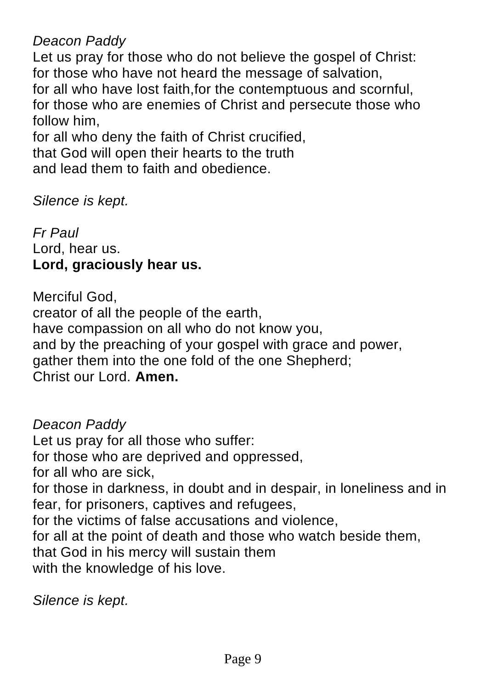*Deacon Paddy*

Let us pray for those who do not believe the gospel of Christ: for those who have not heard the message of salvation, for all who have lost faith,for the contemptuous and scornful, for those who are enemies of Christ and persecute those who follow him,

for all who deny the faith of Christ crucified, that God will open their hearts to the truth and lead them to faith and obedience.

*Silence is kept.*

*Fr Paul* Lord, hear us. **Lord, graciously hear us.**

Merciful God, creator of all the people of the earth, have compassion on all who do not know you, and by the preaching of your gospel with grace and power, gather them into the one fold of the one Shepherd; Christ our Lord. **Amen.**

*Deacon Paddy* Let us pray for all those who suffer: for those who are deprived and oppressed, for all who are sick, for those in darkness, in doubt and in despair, in loneliness and in fear, for prisoners, captives and refugees, for the victims of false accusations and violence, for all at the point of death and those who watch beside them, that God in his mercy will sustain them with the knowledge of his love.

*Silence is kept.*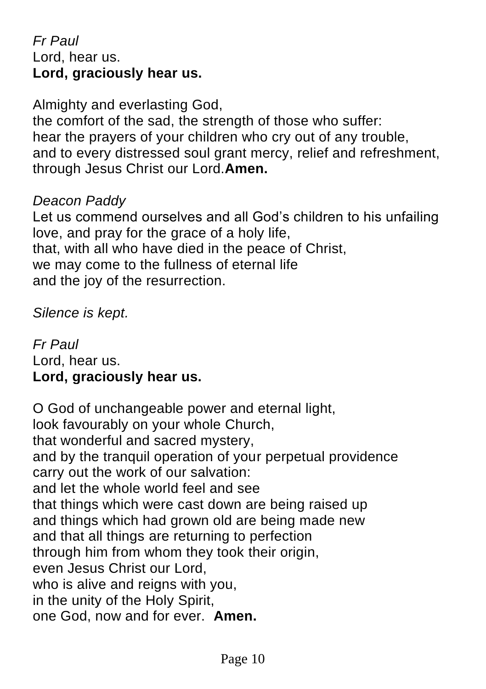## *Fr Paul* Lord, hear us. **Lord, graciously hear us.**

Almighty and everlasting God,

the comfort of the sad, the strength of those who suffer: hear the prayers of your children who cry out of any trouble, and to every distressed soul grant mercy, relief and refreshment, through Jesus Christ our Lord.**Amen.**

## *Deacon Paddy*

Let us commend ourselves and all God's children to his unfailing love, and pray for the grace of a holy life, that, with all who have died in the peace of Christ, we may come to the fullness of eternal life and the joy of the resurrection.

*Silence is kept.*

*Fr Paul* Lord, hear us. **Lord, graciously hear us.**

O God of unchangeable power and eternal light, look favourably on your whole Church, that wonderful and sacred mystery, and by the tranquil operation of your perpetual providence carry out the work of our salvation: and let the whole world feel and see that things which were cast down are being raised up and things which had grown old are being made new and that all things are returning to perfection through him from whom they took their origin, even Jesus Christ our Lord, who is alive and reigns with you. in the unity of the Holy Spirit, one God, now and for ever. **Amen.**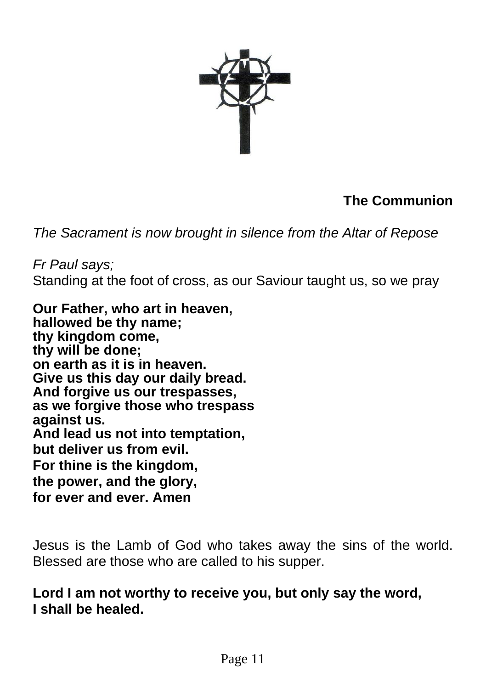

## **The Communion**

*The Sacrament is now brought in silence from the Altar of Repose*

*Fr Paul says;* Standing at the foot of cross, as our Saviour taught us, so we pray

**Our Father, who art in heaven, hallowed be thy name; thy kingdom come, thy will be done; on earth as it is in heaven. Give us this day our daily bread. And forgive us our trespasses, as we forgive those who trespass against us. And lead us not into temptation, but deliver us from evil. For thine is the kingdom, the power, and the glory, for ever and ever. Amen**

Jesus is the Lamb of God who takes away the sins of the world. Blessed are those who are called to his supper.

**Lord I am not worthy to receive you, but only say the word, I shall be healed.**